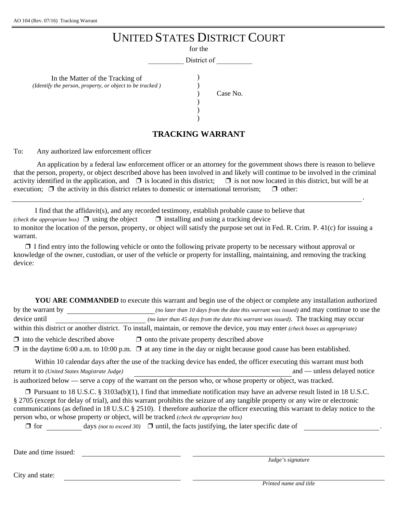*(Identify)* 

|                                                                                    | <b>UNITED STATES DISTRICT COURT</b> |
|------------------------------------------------------------------------------------|-------------------------------------|
|                                                                                    | for the                             |
|                                                                                    | District of                         |
| In the Matter of the Tracking of<br>the person, property, or object to be tracked) | Case No.                            |
|                                                                                    | <b>TRACKING WARRANT</b>             |

To: Any authorized law enforcement officer

An application by a federal law enforcement officer or an attorney for the government shows there is reason to believe that the person, property, or object described above has been involved in and likely will continue to be involved in the criminal activity identified in the application, and  $\Box$  is located in this district;  $\Box$  is not now located in this district, but will be at execution;  $\Box$  the activity in this district relates to domestic or international terrorism;  $\Box$  other:

I find that the affidavit(s), and any recorded testimony, establish probable cause to believe that *(check the appropriate box)*  $\Box$  using the object  $\Box$  installing and using a tracking device to monitor the location of the person, property, or object will satisfy the purpose set out in Fed. R. Crim. P. 41(c) for issuing a warrant.

 $\Box$  I find entry into the following vehicle or onto the following private property to be necessary without approval or knowledge of the owner, custodian, or user of the vehicle or property for installing, maintaining, and removing the tracking device:

**YOU ARE COMMANDED** to execute this warrant and begin use of the object or complete any installation authorized by the warrant by *(no later than 10 days from the date this warrant was issued)* and may continue to use the device until *(no later than 45 days from the date this warrant was issued)*. The tracking may occur within this district or another district. To install, maintain, or remove the device, you may enter *(check boxes as appropriate)*  $\Box$  into the vehicle described above  $\Box$  onto the private property described above  $\Box$  in the daytime 6:00 a.m. to 10:00 p.m.  $\Box$  at any time in the day or night because good cause has been established.

Within 10 calendar days after the use of the tracking device has ended, the officer executing this warrant must both return it to *(United States Magistrate Judge)* and — unless delayed notice is authorized below — serve a copy of the warrant on the person who, or whose property or object, was tracked.

 $\Box$  Pursuant to 18 U.S.C. § 3103a(b)(1), I find that immediate notification may have an adverse result listed in 18 U.S.C. § 2705 (except for delay of trial), and this warrant prohibits the seizure of any tangible property or any wire or electronic communications (as defined in 18 U.S.C § 2510). I therefore authorize the officer executing this warrant to delay notice to the person who, or whose property or object, will be tracked *(check the appropriate box)*

 $\Box$  for days *(not to exceed 30)*  $\Box$  until, the facts justifying, the later specific date of .

Date and time issued:

*Judge's signature*

.

City and state: